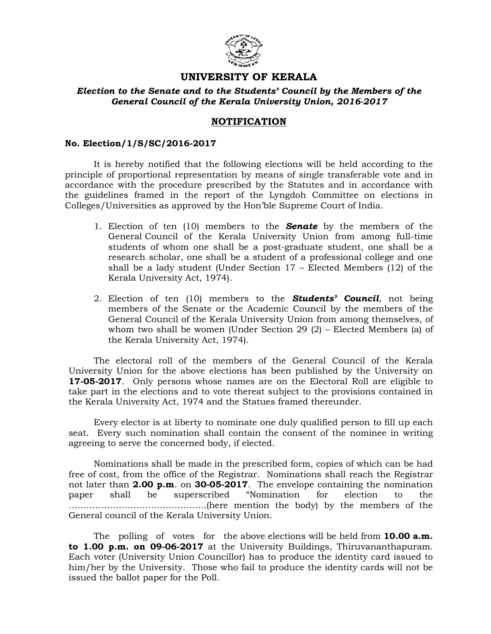

# UNIVERSITY OF KERALA

### Election to the Senate and to the Students' Council by the Members of the General Council of the Kerala University Union, 2016-2017

# NOTIFICATION

#### No. Election/1/S/SC/2016-2017

 It is hereby notified that the following elections will be held according to the principle of proportional representation by means of single transferable vote and in accordance with the procedure prescribed by the Statutes and in accordance with the guidelines framed in the report of the Lyngdoh Committee on elections in Colleges/Universities as approved by the Hon'ble Supreme Court of India.

- 1. Election of ten (10) members to the **Senate** by the members of the General Council of the Kerala University Union from among full-time students of whom one shall be a post-graduate student, one shall be a research scholar, one shall be a student of a professional college and one shall be a lady student (Under Section 17 – Elected Members (12) of the Kerala University Act, 1974).
- 2. Election of ten  $(10)$  members to the **Students' Council**, not being members of the Senate or the Academic Council by the members of the General Council of the Kerala University Union from among themselves, of whom two shall be women (Under Section 29 (2) – Elected Members (a) of the Kerala University Act, 1974).

 The electoral roll of the members of the General Council of the Kerala University Union for the above elections has been published by the University on 17-05-2017. Only persons whose names are on the Electoral Roll are eligible to take part in the elections and to vote thereat subject to the provisions contained in the Kerala University Act, 1974 and the Statues framed thereunder.

 Every elector is at liberty to nominate one duly qualified person to fill up each seat. Every such nomination shall contain the consent of the nominee in writing agreeing to serve the concerned body, if elected.

 Nominations shall be made in the prescribed form, copies of which can be had free of cost, from the office of the Registrar. Nominations shall reach the Registrar not later than 2.00 p.m. on 30-05-2017. The envelope containing the nomination paper shall be superscribed "Nomination for election to the ………………………………………..(here mention the body) by the members of the General council of the Kerala University Union.

The polling of votes for the above elections will be held from  $10.00 a.m.$ to 1.00 p.m. on 09-06-2017 at the University Buildings, Thiruvananthapuram. Each voter (University Union Councillor) has to produce the identity card issued to him/her by the University. Those who fail to produce the identity cards will not be issued the ballot paper for the Poll.